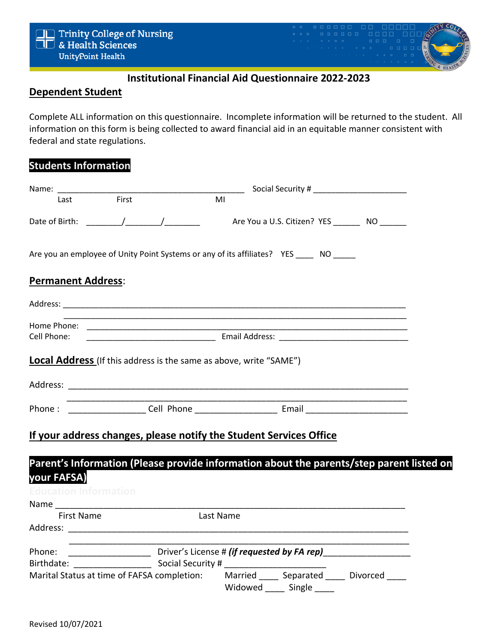

## **Institutional Financial Aid Questionnaire 2022-2023**

### **Dependent Student**

Complete ALL information on this questionnaire. Incomplete information will be returned to the student. All information on this form is being collected to award financial aid in an equitable manner consistent with federal and state regulations.

### **Students Information**

| Last                                                                                   | First | MI        |  |                                                                                          |
|----------------------------------------------------------------------------------------|-------|-----------|--|------------------------------------------------------------------------------------------|
|                                                                                        |       |           |  | Are You a U.S. Citizen? YES _________ NO _______                                         |
| Are you an employee of Unity Point Systems or any of its affiliates? YES ____ NO _____ |       |           |  |                                                                                          |
| <b>Permanent Address:</b>                                                              |       |           |  |                                                                                          |
|                                                                                        |       |           |  |                                                                                          |
| Home Phone:<br>Cell Phone:                                                             |       |           |  |                                                                                          |
|                                                                                        |       |           |  |                                                                                          |
| Local Address (If this address is the same as above, write "SAME")                     |       |           |  |                                                                                          |
|                                                                                        |       |           |  |                                                                                          |
|                                                                                        |       |           |  |                                                                                          |
|                                                                                        |       |           |  |                                                                                          |
| If your address changes, please notify the Student Services Office                     |       |           |  |                                                                                          |
|                                                                                        |       |           |  | Parent's Information (Please provide information about the parents/step parent listed on |
| your FAFSA)                                                                            |       |           |  |                                                                                          |
| <b>Education Information</b>                                                           |       |           |  |                                                                                          |
|                                                                                        |       |           |  |                                                                                          |
|                                                                                        |       | Last Name |  |                                                                                          |
| <b>First Name</b>                                                                      |       |           |  |                                                                                          |
|                                                                                        |       |           |  |                                                                                          |
| Phone:                                                                                 |       |           |  |                                                                                          |
| Birthdate: Social Security #                                                           |       |           |  |                                                                                          |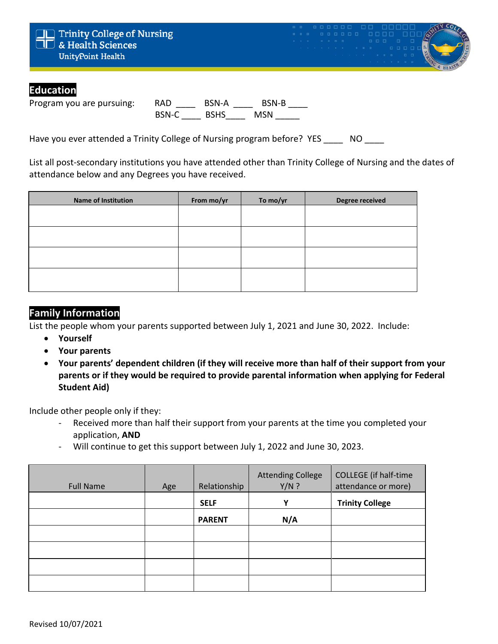

## **Education**

Program you are pursuing: RAD \_\_\_\_ BSN-A \_\_\_\_ BSN-B \_\_\_\_ BSN-C \_\_\_\_ BSHS\_\_\_\_\_\_ MSN \_\_\_\_\_\_

Have you ever attended a Trinity College of Nursing program before? YES NO

List all post-secondary institutions you have attended other than Trinity College of Nursing and the dates of attendance below and any Degrees you have received.

| <b>Name of Institution</b> | From mo/yr | To mo/yr | Degree received |
|----------------------------|------------|----------|-----------------|
|                            |            |          |                 |
|                            |            |          |                 |
|                            |            |          |                 |
|                            |            |          |                 |
|                            |            |          |                 |
|                            |            |          |                 |

## **Family Information**

List the people whom your parents supported between July 1, 2021 and June 30, 2022. Include:

- **Yourself**
- **Your parents**
- **Your parents' dependent children (if they will receive more than half of their support from your parents or if they would be required to provide parental information when applying for Federal Student Aid)**

Include other people only if they:

- Received more than half their support from your parents at the time you completed your application, **AND**
- Will continue to get this support between July 1, 2022 and June 30, 2023.

| <b>Full Name</b> | Age | Relationship  | <b>Attending College</b><br>$Y/N$ ? | <b>COLLEGE</b> (if half-time<br>attendance or more) |
|------------------|-----|---------------|-------------------------------------|-----------------------------------------------------|
|                  |     | <b>SELF</b>   | Υ                                   | <b>Trinity College</b>                              |
|                  |     | <b>PARENT</b> | N/A                                 |                                                     |
|                  |     |               |                                     |                                                     |
|                  |     |               |                                     |                                                     |
|                  |     |               |                                     |                                                     |
|                  |     |               |                                     |                                                     |